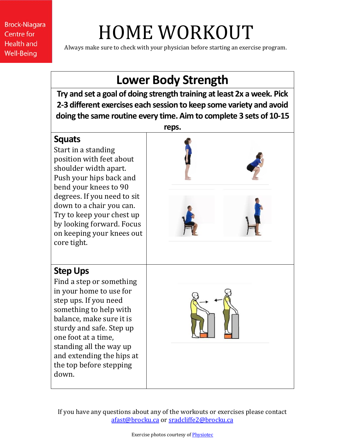# HOME WORKOUT

Always make sure to check with your physician before starting an exercise program.

### **Lower Body Strength**

**Try and set a goal of doing strength training at least 2x a week. Pick 2-3 different exercises each session to keep some variety and avoid doing the same routine every time. Aim to complete 3 sets of 10-15** 

#### **Squats**

Start in a standing position with feet about shoulder width apart. Push your hips back and bend your knees to 90 degrees. If you need to sit down to a chair you can. Try to keep your chest up by looking forward. Focus on keeping your knees out core tight.



#### **Step Ups**

Find a step or something in your home to use for step ups. If you need something to help with balance, make sure it is sturdy and safe. Step up one foot at a time, standing all the way up and extending the hips at the top before stepping down.

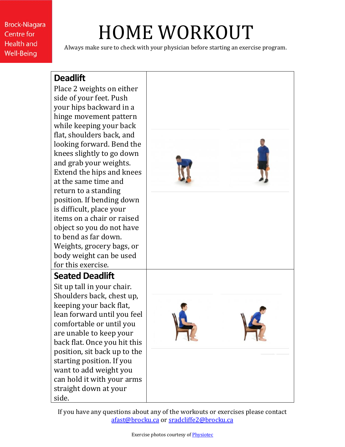### HOME WORKOUT

Always make sure to check with your physician before starting an exercise program.

### **Deadlift**

Place 2 weights on either side of your feet. Push your hips backward in a hinge movement pattern while keeping your back flat, shoulders back, and looking forward. Bend the knees slightly to go down and grab your weights. Extend the hips and knees at the same time and return to a standing position. If bending down is difficult, place your items on a chair or raised object so you do not have to bend as far down. Weights, grocery bags, or body weight can be used for this exercise.

#### **Seated Deadlift**

Sit up tall in your chair. Shoulders back, chest up, keeping your back flat, lean forward until you feel comfortable or until you are unable to keep your back flat. Once you hit this position, sit back up to the starting position. If you want to add weight you can hold it with your arms straight down at your side.

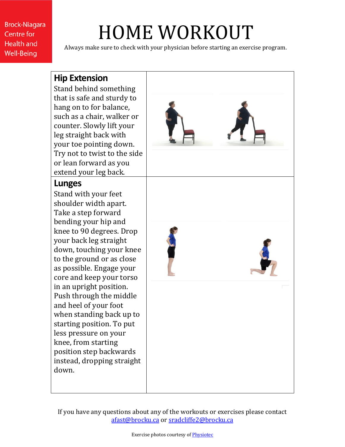## HOME WORKOUT

Always make sure to check with your physician before starting an exercise program.

#### **Hip Extension** Stand behind something that is safe and sturdy to hang on to for balance, such as a chair, walker or counter. Slowly lift your leg straight back with your toe pointing down. Try not to twist to the side or lean forward as you extend your leg back. **Lunges** Stand with your feet shoulder width apart. Take a step forward bending your hip and knee to 90 degrees. Drop your back leg straight down, touching your knee to the ground or as close as possible. Engage your core and keep your torso in an upright position. Push through the middle and heel of your foot when standing back up to starting position. To put less pressure on your knee, from starting position step backwards instead, dropping straight down.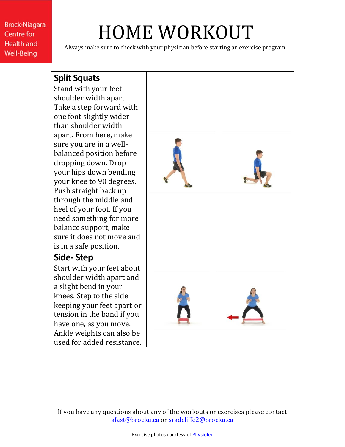### HOME WORKOUT

Always make sure to check with your physician before starting an exercise program.

### **Split Squats**

Stand with your feet shoulder width apart. Take a step forward with one foot slightly wider than shoulder width apart. From here, make sure you are in a wellbalanced position before dropping down. Drop your hips down bending your knee to 90 degrees. Push straight back up through the middle and heel of your foot. If you need something for more balance support, make sure it does not move and is in a safe position.

#### **Side- Step**

Start with your feet about shoulder width apart and a slight bend in your knees. Step to the side keeping your feet apart or tension in the band if you have one, as you move. Ankle weights can also be used for added resistance.

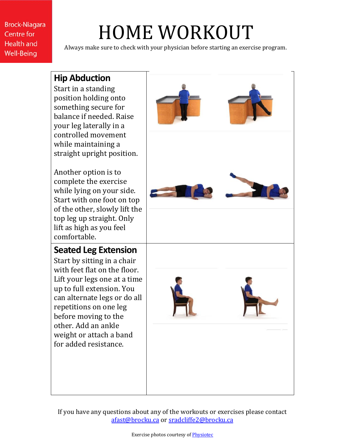# HOME WORKOUT

Centre for **Health and Well-Being** 

**Brock-Niagara** 

Always make sure to check with your physician before starting an exercise program.

### **Hip Abduction**

| Start in a standing<br>position holding onto<br>something secure for<br>balance if needed. Raise<br>your leg laterally in a                                                                                        |  |
|--------------------------------------------------------------------------------------------------------------------------------------------------------------------------------------------------------------------|--|
| controlled movement                                                                                                                                                                                                |  |
| while maintaining a<br>straight upright position.                                                                                                                                                                  |  |
| Another option is to<br>complete the exercise<br>while lying on your side.<br>Start with one foot on top<br>of the other, slowly lift the<br>top leg up straight. Only<br>lift as high as you feel<br>comfortable. |  |
| <b>Seated Leg Extension</b>                                                                                                                                                                                        |  |
| Start by sitting in a chair                                                                                                                                                                                        |  |
| with feet flat on the floor.                                                                                                                                                                                       |  |
| Lift your legs one at a time                                                                                                                                                                                       |  |
| up to full extension. You                                                                                                                                                                                          |  |
| can alternate legs or do all<br>repetitions on one leg                                                                                                                                                             |  |
| before moving to the                                                                                                                                                                                               |  |
| other. Add an ankle                                                                                                                                                                                                |  |
| weight or attach a band                                                                                                                                                                                            |  |
| for added resistance.                                                                                                                                                                                              |  |